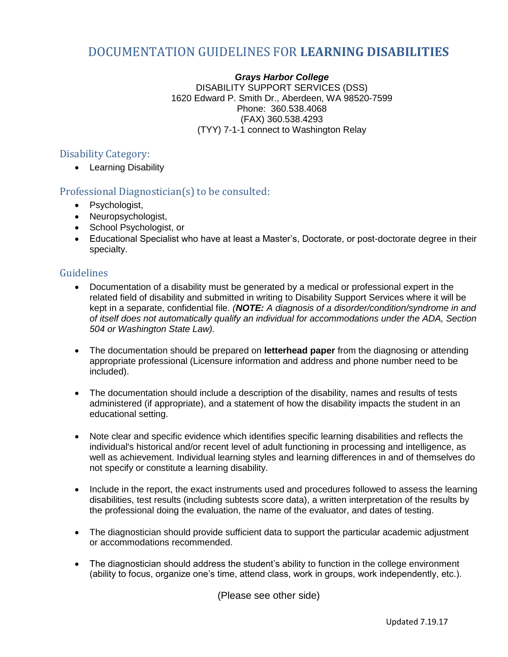## DOCUMENTATION GUIDELINES FOR **LEARNING DISABILITIES**

*Grays Harbor College* DISABILITY SUPPORT SERVICES (DSS) 1620 Edward P. Smith Dr., Aberdeen, WA 98520-7599 Phone: 360.538.4068 (FAX) 360.538.4293 (TYY) 7-1-1 connect to Washington Relay

## Disability Category:

• Learning Disability

## Professional Diagnostician(s) to be consulted:

- Psychologist,
- Neuropsychologist,
- School Psychologist, or
- Educational Specialist who have at least a Master's, Doctorate, or post-doctorate degree in their specialty.

## **Guidelines**

- Documentation of a disability must be generated by a medical or professional expert in the related field of disability and submitted in writing to Disability Support Services where it will be kept in a separate, confidential file. *(NOTE: A diagnosis of a disorder/condition/syndrome in and of itself does not automatically qualify an individual for accommodations under the ADA, Section 504 or Washington State Law).*
- The documentation should be prepared on **letterhead paper** from the diagnosing or attending appropriate professional (Licensure information and address and phone number need to be included).
- The documentation should include a description of the disability, names and results of tests administered (if appropriate), and a statement of how the disability impacts the student in an educational setting.
- Note clear and specific evidence which identifies specific learning disabilities and reflects the individual's historical and/or recent level of adult functioning in processing and intelligence, as well as achievement. Individual learning styles and learning differences in and of themselves do not specify or constitute a learning disability.
- Include in the report, the exact instruments used and procedures followed to assess the learning disabilities, test results (including subtests score data), a written interpretation of the results by the professional doing the evaluation, the name of the evaluator, and dates of testing.
- The diagnostician should provide sufficient data to support the particular academic adjustment or accommodations recommended.
- The diagnostician should address the student's ability to function in the college environment (ability to focus, organize one's time, attend class, work in groups, work independently, etc.).

(Please see other side)